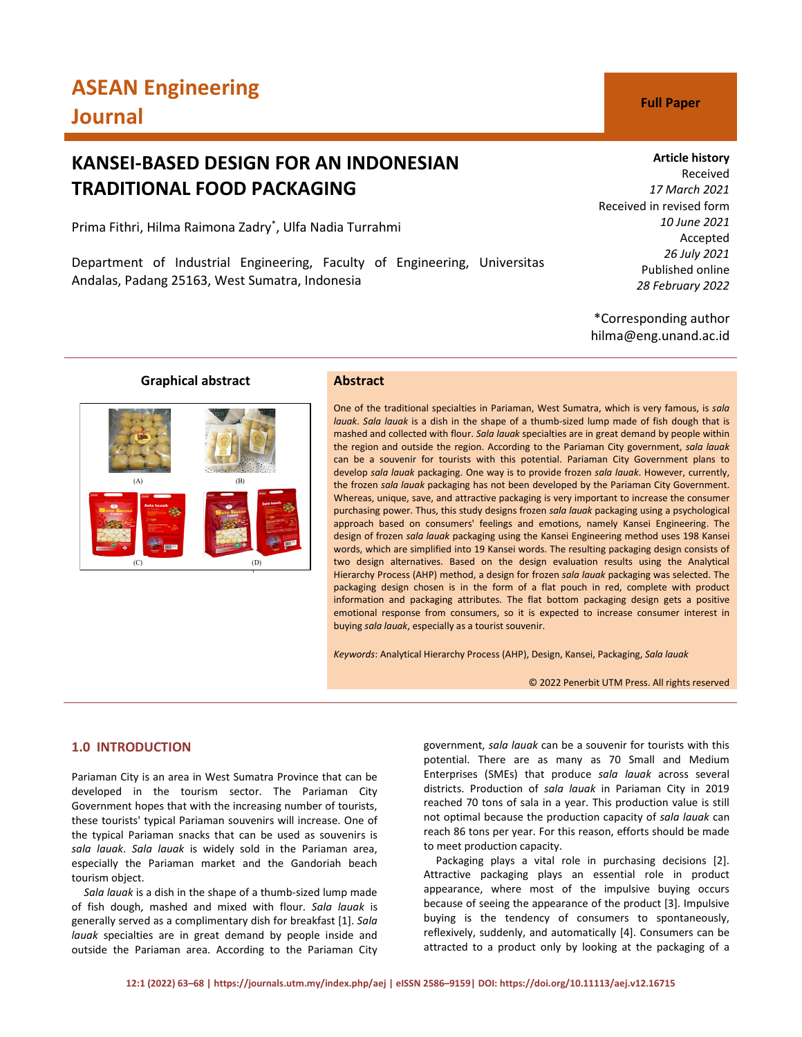# **KANSEI-BASED DESIGN FOR AN INDONESIAN TRADITIONAL FOOD PACKAGING**

Prima Fithri, Hilma Raimona Zadry\* , Ulfa Nadia Turrahmi

Department of Industrial Engineering, Faculty of Engineering, Universitas Andalas, Padang 25163, West Sumatra, Indonesia

# **Article history**

Received *17 March 2021* Received in revised form *10 June 2021* Accepted *26 July 2021* Published online *28 February 2022*

\*Corresponding author hilma@eng.unand.ac.id

# **Graphical abstract**



# **Abstract**

One of the traditional specialties in Pariaman, West Sumatra, which is very famous, is *sala lauak*. *Sala lauak* is a dish in the shape of a thumb-sized lump made of fish dough that is mashed and collected with flour. *Sala lauak* specialties are in great demand by people within the region and outside the region. According to the Pariaman City government, *sala lauak* can be a souvenir for tourists with this potential. Pariaman City Government plans to develop *sala lauak* packaging. One way is to provide frozen *sala lauak*. However, currently, the frozen *sala lauak* packaging has not been developed by the Pariaman City Government. Whereas, unique, save, and attractive packaging is very important to increase the consumer purchasing power. Thus, this study designs frozen *sala lauak* packaging using a psychological approach based on consumers' feelings and emotions, namely Kansei Engineering. The design of frozen *sala lauak* packaging using the Kansei Engineering method uses 198 Kansei words, which are simplified into 19 Kansei words. The resulting packaging design consists of two design alternatives. Based on the design evaluation results using the Analytical Hierarchy Process (AHP) method, a design for frozen *sala lauak* packaging was selected. The packaging design chosen is in the form of a flat pouch in red, complete with product information and packaging attributes. The flat bottom packaging design gets a positive emotional response from consumers, so it is expected to increase consumer interest in buying *sala lauak*, especially as a tourist souvenir.

*Keywords*: Analytical Hierarchy Process (AHP), Design, Kansei, Packaging, *Sala lauak*

© 2022 Penerbit UTM Press. All rights reserved

# **1.0 INTRODUCTION**

Pariaman City is an area in West Sumatra Province that can be developed in the tourism sector. The Pariaman City Government hopes that with the increasing number of tourists, these tourists' typical Pariaman souvenirs will increase. One of the typical Pariaman snacks that can be used as souvenirs is *sala lauak*. *Sala lauak* is widely sold in the Pariaman area, especially the Pariaman market and the Gandoriah beach tourism object.

*Sala lauak* is a dish in the shape of a thumb-sized lump made of fish dough, mashed and mixed with flour. *Sala lauak* is generally served as a complimentary dish for breakfast [1]. *Sala lauak* specialties are in great demand by people inside and outside the Pariaman area. According to the Pariaman City

government, *sala lauak* can be a souvenir for tourists with this potential. There are as many as 70 Small and Medium Enterprises (SMEs) that produce *sala lauak* across several districts. Production of *sala lauak* in Pariaman City in 2019 reached 70 tons of sala in a year. This production value is still not optimal because the production capacity of *sala lauak* can reach 86 tons per year. For this reason, efforts should be made to meet production capacity.

Packaging plays a vital role in purchasing decisions [2]. Attractive packaging plays an essential role in product appearance, where most of the impulsive buying occurs because of seeing the appearance of the product [3]. Impulsive buying is the tendency of consumers to spontaneously, reflexively, suddenly, and automatically [4]. Consumers can be attracted to a product only by looking at the packaging of a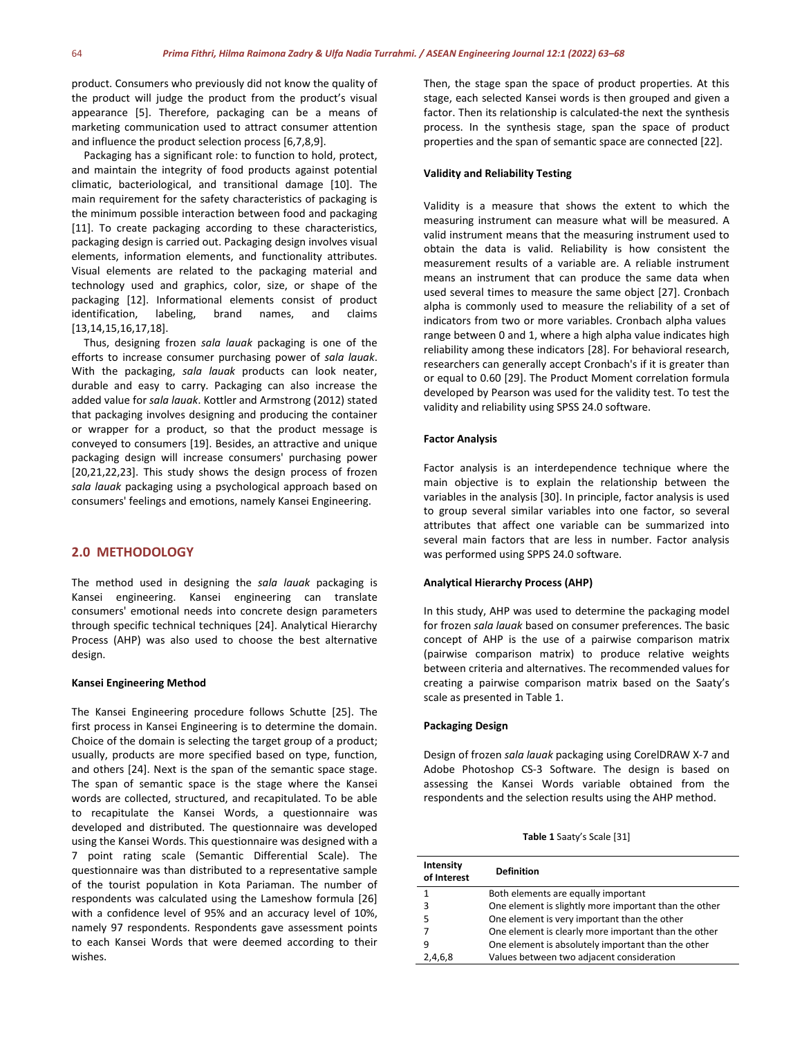product. Consumers who previously did not know the quality of the product will judge the product from the product's visual appearance [5]. Therefore, packaging can be a means of marketing communication used to attract consumer attention and influence the product selection process [6,7,8,9].

Packaging has a significant role: to function to hold, protect, and maintain the integrity of food products against potential climatic, bacteriological, and transitional damage [10]. The main requirement for the safety characteristics of packaging is the minimum possible interaction between food and packaging [11]. To create packaging according to these characteristics, packaging design is carried out. Packaging design involves visual elements, information elements, and functionality attributes. Visual elements are related to the packaging material and technology used and graphics, color, size, or shape of the packaging [12]. Informational elements consist of product identification, labeling, brand names, and claims [13,14,15,16,17,18].

Thus, designing frozen *sala lauak* packaging is one of the efforts to increase consumer purchasing power of *sala lauak*. With the packaging, *sala lauak* products can look neater, durable and easy to carry. Packaging can also increase the added value for *sala lauak*. Kottler and Armstrong (2012) stated that packaging involves designing and producing the container or wrapper for a product, so that the product message is conveyed to consumers [19]. Besides, an attractive and unique packaging design will increase consumers' purchasing power [20,21,22,23]. This study shows the design process of frozen *sala lauak* packaging using a psychological approach based on consumers' feelings and emotions, namely Kansei Engineering.

# **2.0 METHODOLOGY**

The method used in designing the *sala lauak* packaging is Kansei engineering. Kansei engineering can translate consumers' emotional needs into concrete design parameters through specific technical techniques [24]. Analytical Hierarchy Process (AHP) was also used to choose the best alternative design.

#### **Kansei Engineering Method**

The Kansei Engineering procedure follows Schutte [25]. The first process in Kansei Engineering is to determine the domain. Choice of the domain is selecting the target group of a product; usually, products are more specified based on type, function, and others [24]. Next is the span of the semantic space stage. The span of semantic space is the stage where the Kansei words are collected, structured, and recapitulated. To be able to recapitulate the Kansei Words, a questionnaire was developed and distributed. The questionnaire was developed using the Kansei Words. This questionnaire was designed with a 7 point rating scale (Semantic Differential Scale). The questionnaire was than distributed to a representative sample of the tourist population in Kota Pariaman. The number of respondents was calculated using the Lameshow formula [26] with a confidence level of 95% and an accuracy level of 10%, namely 97 respondents. Respondents gave assessment points to each Kansei Words that were deemed according to their wishes.

Then, the stage span the space of product properties. At this stage, each selected Kansei words is then grouped and given a factor. Then its relationship is calculated-the next the synthesis process. In the synthesis stage, span the space of product properties and the span of semantic space are connected [22].

#### **Validity and Reliability Testing**

Validity is a measure that shows the extent to which the measuring instrument can measure what will be measured. A valid instrument means that the measuring instrument used to obtain the data is valid. Reliability is how consistent the measurement results of a variable are. A reliable instrument means an instrument that can produce the same data when used several times to measure the same object [27]. Cronbach alpha is commonly used to measure the reliability of a set of indicators from two or more variables. Cronbach alpha values range between 0 and 1, where a high alpha value indicates high reliability among these indicators [28]. For behavioral research, researchers can generally accept Cronbach's if it is greater than or equal to 0.60 [29]. The Product Moment correlation formula developed by Pearson was used for the validity test. To test the validity and reliability using SPSS 24.0 software.

#### **Factor Analysis**

Factor analysis is an interdependence technique where the main objective is to explain the relationship between the variables in the analysis [30]. In principle, factor analysis is used to group several similar variables into one factor, so several attributes that affect one variable can be summarized into several main factors that are less in number. Factor analysis was performed using SPPS 24.0 software.

#### **Analytical Hierarchy Process (AHP)**

In this study, AHP was used to determine the packaging model for frozen *sala lauak* based on consumer preferences. The basic concept of AHP is the use of a pairwise comparison matrix (pairwise comparison matrix) to produce relative weights between criteria and alternatives. The recommended values for creating a pairwise comparison matrix based on the Saaty's scale as presented in Table 1.

#### **Packaging Design**

Design of frozen *sala lauak* packaging using CorelDRAW X-7 and Adobe Photoshop CS-3 Software. The design is based on assessing the Kansei Words variable obtained from the respondents and the selection results using the AHP method.

**Table 1** Saaty's Scale [31]

| Intensity<br>of Interest | <b>Definition</b>                                     |
|--------------------------|-------------------------------------------------------|
| 1                        | Both elements are equally important                   |
| 3                        | One element is slightly more important than the other |
| 5                        | One element is very important than the other          |
| 7                        | One element is clearly more important than the other  |
| 9                        | One element is absolutely important than the other    |
| 2,4,6,8                  | Values between two adjacent consideration             |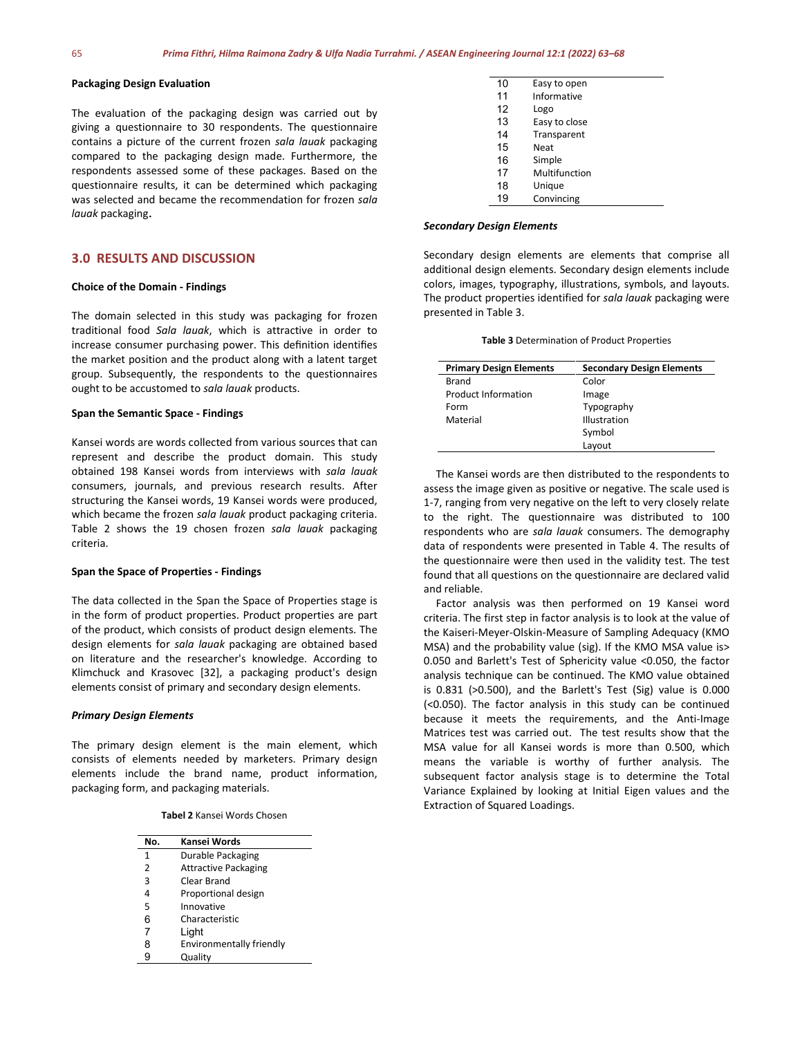### **Packaging Design Evaluation**

The evaluation of the packaging design was carried out by giving a questionnaire to 30 respondents. The questionnaire contains a picture of the current frozen *sala lauak* packaging compared to the packaging design made. Furthermore, the respondents assessed some of these packages. Based on the questionnaire results, it can be determined which packaging was selected and became the recommendation for frozen *sala lauak* packaging.

### **3.0 RESULTS AND DISCUSSION**

# **Choice of the Domain - Findings**

The domain selected in this study was packaging for frozen traditional food *Sala lauak*, which is attractive in order to increase consumer purchasing power. This definition identifies the market position and the product along with a latent target group. Subsequently, the respondents to the questionnaires ought to be accustomed to *sala lauak* products.

#### **Span the Semantic Space - Findings**

Kansei words are words collected from various sources that can represent and describe the product domain. This study obtained 198 Kansei words from interviews with *sala lauak* consumers, journals, and previous research results. After structuring the Kansei words, 19 Kansei words were produced, which became the frozen *sala lauak* product packaging criteria. Table 2 shows the 19 chosen frozen *sala lauak* packaging criteria.

#### **Span the Space of Properties - Findings**

The data collected in the Span the Space of Properties stage is in the form of product properties. Product properties are part of the product, which consists of product design elements. The design elements for *sala lauak* packaging are obtained based on literature and the researcher's knowledge. According to Klimchuck and Krasovec [32], a packaging product's design elements consist of primary and secondary design elements.

#### *Primary Design Elements*

The primary design element is the main element, which consists of elements needed by marketers. Primary design elements include the brand name, product information, packaging form, and packaging materials.

| Tabel 2 Kansei Words Chosen |
|-----------------------------|
|                             |

| No.          | Kansei Words                |
|--------------|-----------------------------|
| $\mathbf{1}$ | Durable Packaging           |
| 2            | <b>Attractive Packaging</b> |
| 3            | Clear Brand                 |
| 4            | Proportional design         |
| 5            | Innovative                  |
| 6            | Characteristic              |
| 7            | Light                       |
| 8            | Environmentally friendly    |
| g            | Quality                     |

| 10 | Easy to open  |  |
|----|---------------|--|
| 11 | Informative   |  |
| 12 | Logo          |  |
| 13 | Easy to close |  |
| 14 | Transparent   |  |
| 15 | <b>Neat</b>   |  |
| 16 | Simple        |  |
| 17 | Multifunction |  |
| 18 | Unique        |  |
| 19 | Convincing    |  |

#### *Secondary Design Elements*

Secondary design elements are elements that comprise all additional design elements. Secondary design elements include colors, images, typography, illustrations, symbols, and layouts. The product properties identified for *sala lauak* packaging were presented in Table 3.

| Table 3 Determination of Product Properties |  |  |
|---------------------------------------------|--|--|
|---------------------------------------------|--|--|

| <b>Primary Design Elements</b> | <b>Secondary Design Elements</b> |
|--------------------------------|----------------------------------|
| Brand                          | Color                            |
| <b>Product Information</b>     | Image                            |
| Form                           | Typography                       |
| Material                       | Illustration                     |
|                                | Symbol                           |
|                                | Layout                           |

The Kansei words are then distributed to the respondents to assess the image given as positive or negative. The scale used is 1-7, ranging from very negative on the left to very closely relate to the right. The questionnaire was distributed to 100 respondents who are *sala lauak* consumers. The demography data of respondents were presented in Table 4. The results of the questionnaire were then used in the validity test. The test found that all questions on the questionnaire are declared valid and reliable.

Factor analysis was then performed on 19 Kansei word criteria. The first step in factor analysis is to look at the value of the Kaiseri-Meyer-Olskin-Measure of Sampling Adequacy (KMO MSA) and the probability value (sig). If the KMO MSA value is> 0.050 and Barlett's Test of Sphericity value <0.050, the factor analysis technique can be continued. The KMO value obtained is 0.831 (>0.500), and the Barlett's Test (Sig) value is 0.000 (<0.050). The factor analysis in this study can be continued because it meets the requirements, and the Anti-Image Matrices test was carried out. The test results show that the MSA value for all Kansei words is more than 0.500, which means the variable is worthy of further analysis. The subsequent factor analysis stage is to determine the Total Variance Explained by looking at Initial Eigen values and the Extraction of Squared Loadings.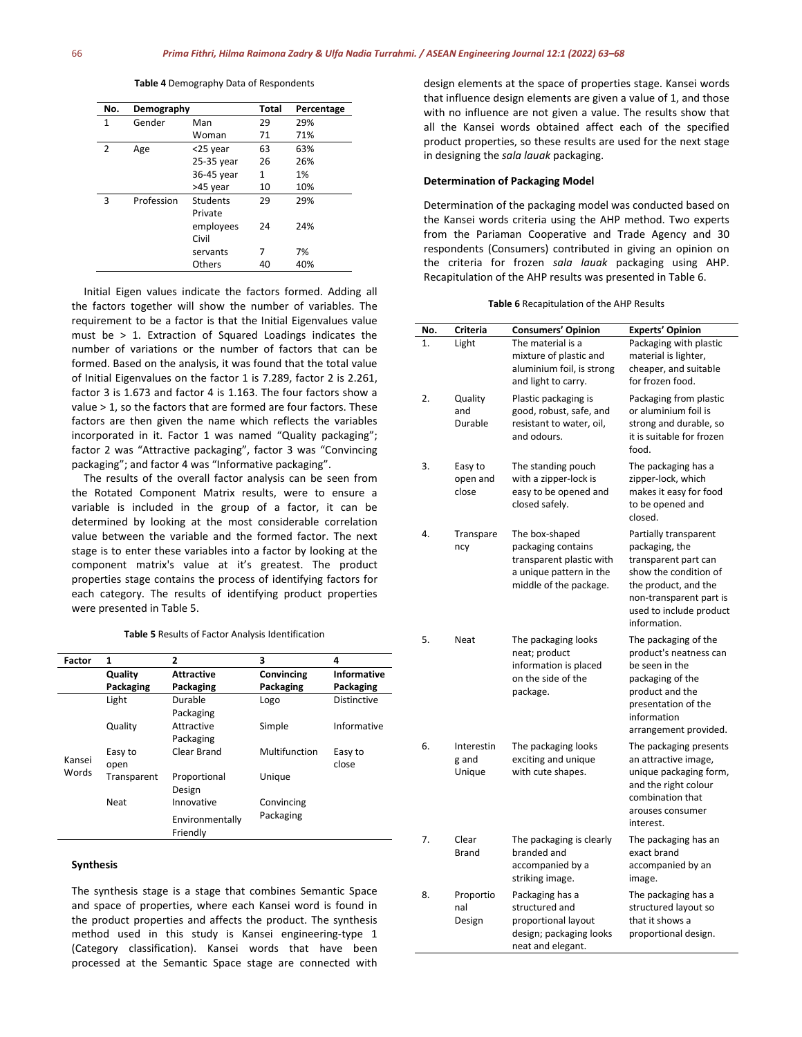| No. | Demography |                     | <b>Total</b> | Percentage |
|-----|------------|---------------------|--------------|------------|
| 1   | Gender     | Man                 | 29           | 29%        |
|     |            | Woman               | 71           | 71%        |
| 2   | Age        | <25 year            | 63           | 63%        |
|     |            | 25-35 year          | 26           | 26%        |
|     |            | 36-45 year          | 1            | 1%         |
|     |            | >45 year            | 10           | 10%        |
| 3   | Profession | Students<br>Private | 29           | 29%        |
|     |            | employees<br>Civil  | 24           | 24%        |
|     |            | servants            | 7            | 7%         |
|     |            | Others              | 40           | 40%        |

**Table 4** Demography Data of Respondents

Initial Eigen values indicate the factors formed. Adding all the factors together will show the number of variables. The requirement to be a factor is that the Initial Eigenvalues value must be > 1. Extraction of Squared Loadings indicates the number of variations or the number of factors that can be formed. Based on the analysis, it was found that the total value of Initial Eigenvalues on the factor 1 is 7.289, factor 2 is 2.261, factor 3 is 1.673 and factor 4 is 1.163. The four factors show a value > 1, so the factors that are formed are four factors. These factors are then given the name which reflects the variables incorporated in it. Factor 1 was named "Quality packaging"; factor 2 was "Attractive packaging", factor 3 was "Convincing packaging"; and factor 4 was "Informative packaging".

The results of the overall factor analysis can be seen from the Rotated Component Matrix results, were to ensure a variable is included in the group of a factor, it can be determined by looking at the most considerable correlation value between the variable and the formed factor. The next stage is to enter these variables into a factor by looking at the component matrix's value at it's greatest. The product properties stage contains the process of identifying factors for each category. The results of identifying product properties were presented in Table 5.

#### **Table 5** Results of Factor Analysis Identification

| Factor | 1           | 2                           | 3             | 4                  |
|--------|-------------|-----------------------------|---------------|--------------------|
|        | Quality     | <b>Attractive</b>           | Convincing    | <b>Informative</b> |
|        | Packaging   | Packaging                   | Packaging     | Packaging          |
|        | Light       | Durable                     | Logo          | <b>Distinctive</b> |
|        |             | Packaging                   |               |                    |
|        | Quality     | Attractive                  | Simple        | Informative        |
|        |             | Packaging                   |               |                    |
|        | Easy to     | Clear Brand                 | Multifunction | Easy to            |
| Kansei | open        |                             |               | close              |
| Words  | Transparent | Proportional                | Unique        |                    |
|        |             | Design                      |               |                    |
|        | Neat        | Innovative                  | Convincing    |                    |
|        |             | Environmentally<br>Friendly | Packaging     |                    |

# **Synthesis**

The synthesis stage is a stage that combines Semantic Space and space of properties, where each Kansei word is found in the product properties and affects the product. The synthesis method used in this study is Kansei engineering-type 1 (Category classification). Kansei words that have been processed at the Semantic Space stage are connected with

design elements at the space of properties stage. Kansei words that influence design elements are given a value of 1, and those with no influence are not given a value. The results show that all the Kansei words obtained affect each of the specified product properties, so these results are used for the next stage in designing the *sala lauak* packaging.

#### **Determination of Packaging Model**

Determination of the packaging model was conducted based on the Kansei words criteria using the AHP method. Two experts from the Pariaman Cooperative and Trade Agency and 30 respondents (Consumers) contributed in giving an opinion on the criteria for frozen *sala lauak* packaging using AHP. Recapitulation of the AHP results was presented in Table 6.

| Table 6 Recapitulation of the AHP Results |  |  |
|-------------------------------------------|--|--|
|-------------------------------------------|--|--|

| No. | Criteria    | <b>Consumers' Opinion</b>                   | <b>Experts' Opinion</b>                        |
|-----|-------------|---------------------------------------------|------------------------------------------------|
| 1.  | Light       | The material is a                           | Packaging with plastic                         |
|     |             | mixture of plastic and                      | material is lighter,                           |
|     |             | aluminium foil, is strong                   | cheaper, and suitable<br>for frozen food.      |
|     |             | and light to carry.                         |                                                |
| 2.  | Quality     | Plastic packaging is                        | Packaging from plastic                         |
|     | and         | good, robust, safe, and                     | or aluminium foil is                           |
|     | Durable     | resistant to water, oil,                    | strong and durable, so                         |
|     |             | and odours.                                 | it is suitable for frozen                      |
|     |             |                                             | food.                                          |
| 3.  | Easy to     | The standing pouch                          | The packaging has a                            |
|     | open and    | with a zipper-lock is                       | zipper-lock, which                             |
|     | close       | easy to be opened and                       | makes it easy for food                         |
|     |             | closed safely.                              | to be opened and                               |
|     |             |                                             | closed.                                        |
| 4.  | Transpare   | The box-shaped                              | Partially transparent                          |
|     | ncy         | packaging contains                          | packaging, the                                 |
|     |             | transparent plastic with                    | transparent part can                           |
|     |             | a unique pattern in the                     | show the condition of                          |
|     |             | middle of the package.                      | the product, and the                           |
|     |             |                                             | non-transparent part is                        |
|     |             |                                             | used to include product                        |
|     |             |                                             | information.                                   |
| 5.  | <b>Neat</b> | The packaging looks                         | The packaging of the                           |
|     |             | neat; product                               | product's neatness can                         |
|     |             | information is placed<br>on the side of the | be seen in the                                 |
|     |             |                                             | packaging of the                               |
|     |             | package.                                    | product and the<br>presentation of the         |
|     |             |                                             | information                                    |
|     |             |                                             | arrangement provided.                          |
|     |             |                                             |                                                |
| 6.  | Interestin  | The packaging looks                         | The packaging presents                         |
|     | g and       | exciting and unique<br>with cute shapes.    | an attractive image,                           |
|     | Unique      |                                             | unique packaging form,<br>and the right colour |
|     |             |                                             | combination that                               |
|     |             |                                             | arouses consumer                               |
|     |             |                                             | interest.                                      |
| 7.  | Clear       | The packaging is clearly                    | The packaging has an                           |
|     | Brand       | branded and                                 | exact brand                                    |
|     |             | accompanied by a                            | accompanied by an                              |
|     |             | striking image.                             | image.                                         |
| 8.  | Proportio   | Packaging has a                             | The packaging has a                            |
|     | nal         | structured and                              | structured layout so                           |
|     | Design      | proportional layout                         | that it shows a                                |
|     |             | design; packaging looks                     | proportional design.                           |
|     |             | neat and elegant.                           |                                                |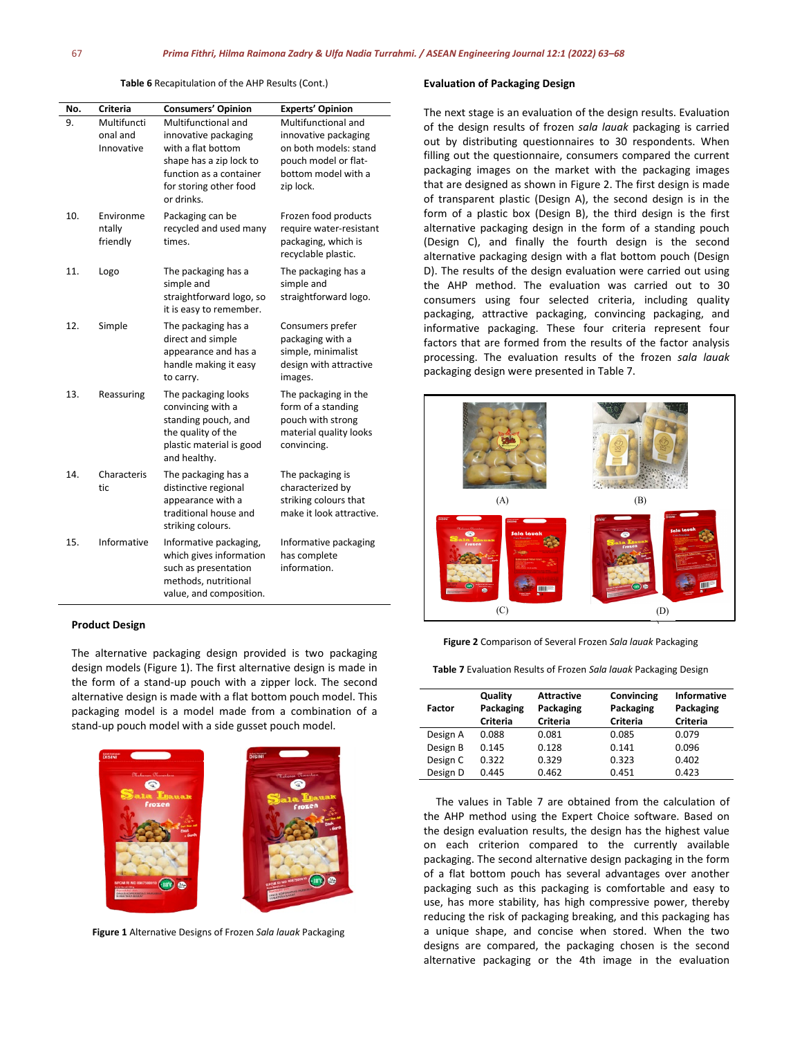**Table 6** Recapitulation of the AHP Results (Cont.)

| No. | Criteria                              | <b>Consumers' Opinion</b>                                                                                                                                       | <b>Experts' Opinion</b>                                                                                                          |
|-----|---------------------------------------|-----------------------------------------------------------------------------------------------------------------------------------------------------------------|----------------------------------------------------------------------------------------------------------------------------------|
| 9.  | Multifuncti<br>onal and<br>Innovative | Multifunctional and<br>innovative packaging<br>with a flat bottom<br>shape has a zip lock to<br>function as a container<br>for storing other food<br>or drinks. | Multifunctional and<br>innovative packaging<br>on both models: stand<br>pouch model or flat-<br>bottom model with a<br>zip lock. |
| 10. | Environme<br>ntally<br>friendly       | Packaging can be<br>recycled and used many<br>times.                                                                                                            | Frozen food products<br>require water-resistant<br>packaging, which is<br>recyclable plastic.                                    |
| 11. | Logo                                  | The packaging has a<br>simple and<br>straightforward logo, so<br>it is easy to remember.                                                                        | The packaging has a<br>simple and<br>straightforward logo.                                                                       |
| 12. | Simple                                | The packaging has a<br>direct and simple<br>appearance and has a<br>handle making it easy<br>to carry.                                                          | Consumers prefer<br>packaging with a<br>simple, minimalist<br>design with attractive<br>images.                                  |
| 13. | Reassuring                            | The packaging looks<br>convincing with a<br>standing pouch, and<br>the quality of the<br>plastic material is good<br>and healthy.                               | The packaging in the<br>form of a standing<br>pouch with strong<br>material quality looks<br>convincing.                         |
| 14. | Characteris<br>tic                    | The packaging has a<br>distinctive regional<br>appearance with a<br>traditional house and<br>striking colours.                                                  | The packaging is<br>characterized by<br>striking colours that<br>make it look attractive.                                        |
| 15. | Informative                           | Informative packaging,<br>which gives information<br>such as presentation<br>methods, nutritional<br>value, and composition.                                    | Informative packaging<br>has complete<br>information.                                                                            |

#### **Product Design**

The alternative packaging design provided is two packaging design models (Figure 1). The first alternative design is made in the form of a stand-up pouch with a zipper lock. The second alternative design is made with a flat bottom pouch model. This packaging model is a model made from a combination of a stand-up pouch model with a side gusset pouch model.



**Figure 1** Alternative Designs of Frozen *Sala lauak* Packaging

#### **Evaluation of Packaging Design**

The next stage is an evaluation of the design results. Evaluation of the design results of frozen *sala lauak* packaging is carried out by distributing questionnaires to 30 respondents. When filling out the questionnaire, consumers compared the current packaging images on the market with the packaging images that are designed as shown in Figure 2. The first design is made of transparent plastic (Design A), the second design is in the form of a plastic box (Design B), the third design is the first alternative packaging design in the form of a standing pouch (Design C), and finally the fourth design is the second alternative packaging design with a flat bottom pouch (Design D). The results of the design evaluation were carried out using the AHP method. The evaluation was carried out to 30 consumers using four selected criteria, including quality packaging, attractive packaging, convincing packaging, and informative packaging. These four criteria represent four factors that are formed from the results of the factor analysis processing. The evaluation results of the frozen *sala lauak* packaging design were presented in Table 7.



#### **Figure 2** Comparison of Several Frozen *Sala lauak* Packaging

**Table 7** Evaluation Results of Frozen *Sala lauak* Packaging Design

| Factor   | Quality<br>Packaging<br>Criteria | <b>Attractive</b><br>Packaging<br>Criteria | Convincing<br>Packaging<br>Criteria | <b>Informative</b><br>Packaging<br>Criteria |
|----------|----------------------------------|--------------------------------------------|-------------------------------------|---------------------------------------------|
| Design A | 0.088                            | 0.081                                      | 0.085                               | 0.079                                       |
| Design B | 0.145                            | 0.128                                      | 0.141                               | 0.096                                       |
| Design C | 0.322                            | 0.329                                      | 0.323                               | 0.402                                       |
| Design D | 0.445                            | 0.462                                      | 0.451                               | 0.423                                       |

The values in Table 7 are obtained from the calculation of the AHP method using the Expert Choice software. Based on the design evaluation results, the design has the highest value on each criterion compared to the currently available packaging. The second alternative design packaging in the form of a flat bottom pouch has several advantages over another packaging such as this packaging is comfortable and easy to use, has more stability, has high compressive power, thereby reducing the risk of packaging breaking, and this packaging has a unique shape, and concise when stored. When the two designs are compared, the packaging chosen is the second alternative packaging or the 4th image in the evaluation